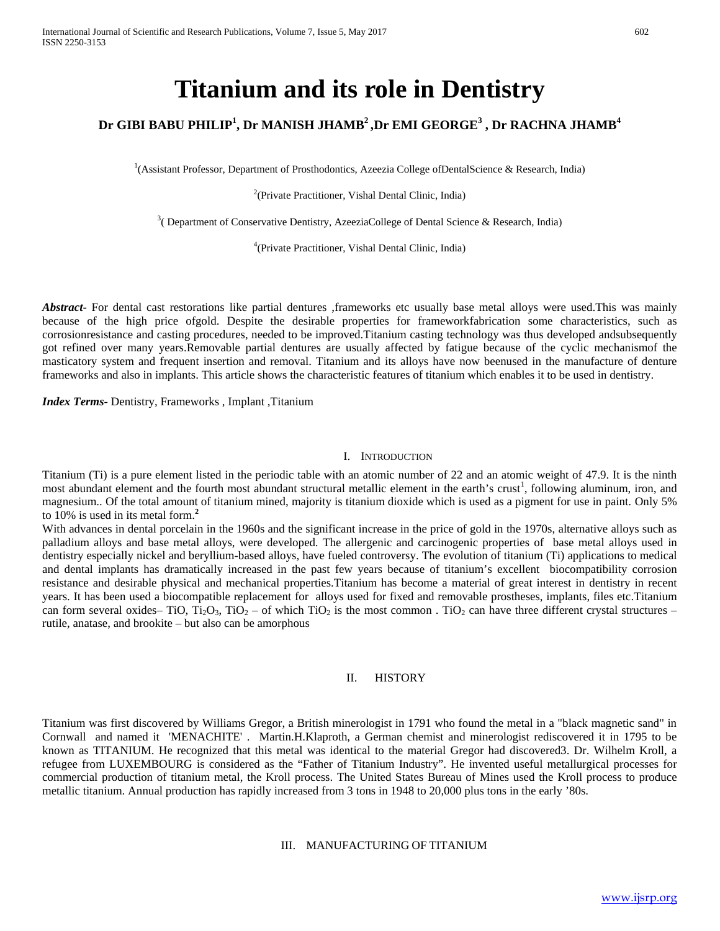# **Titanium and its role in Dentistry**

## **Dr GIBI BABU PHILIP<sup>1</sup> , Dr MANISH JHAMB2 ,Dr EMI GEORGE3 , Dr RACHNA JHAMB<sup>4</sup>**

1 (Assistant Professor, Department of Prosthodontics, Azeezia College ofDentalScience & Research, India)

<sup>2</sup>(Private Practitioner, Vishal Dental Clinic, India)

 $3$ ( Department of Conservative Dentistry, AzeeziaCollege of Dental Science & Research, India)

4 (Private Practitioner, Vishal Dental Clinic, India)

Abstract For dental cast restorations like partial dentures ,frameworks etc usually base metal alloys were used.This was mainly because of the high price ofgold. Despite the desirable properties for frameworkfabrication some characteristics, such as corrosionresistance and casting procedures, needed to be improved.Titanium casting technology was thus developed andsubsequently got refined over many years.Removable partial dentures are usually affected by fatigue because of the cyclic mechanismof the masticatory system and frequent insertion and removal. Titanium and its alloys have now beenused in the manufacture of denture frameworks and also in implants. This article shows the characteristic features of titanium which enables it to be used in dentistry.

*Index Terms*- Dentistry, Frameworks , Implant ,Titanium

#### I. INTRODUCTION

Titanium (Ti) is a pure element listed in the periodic table with an atomic number of 22 and an atomic weight of 47.9. It is the ninth most abundant element and the fourth most abundant structural metallic element in the earth's crust<sup>1</sup>, following aluminum, iron, and magnesium.. Of the total amount of titanium mined, majority is titanium dioxide which is used as a pigment for use in paint. Only 5% to 10% is used in its metal form.**<sup>2</sup>**

With advances in dental porcelain in the 1960s and the significant increase in the price of gold in the 1970s, alternative alloys such as palladium alloys and base metal alloys, were developed. The allergenic and carcinogenic properties of base metal alloys used in dentistry especially nickel and beryllium-based alloys, have fueled controversy. The evolution of titanium (Ti) applications to medical and dental implants has dramatically increased in the past few years because of titanium's excellent biocompatibility corrosion resistance and desirable physical and mechanical properties.Titanium has become a material of great interest in dentistry in recent years. It has been used a biocompatible replacement for alloys used for fixed and removable prostheses, implants, files etc.Titanium can form several oxides– TiO, Ti<sub>2</sub>O<sub>3</sub>, TiO<sub>2</sub> – of which TiO<sub>2</sub> is the most common . TiO<sub>2</sub> can have three different crystal structures – rutile, anatase, and brookite – but also can be amorphous

#### II. HISTORY

Titanium was first discovered by Williams Gregor, a British minerologist in 1791 who found the metal in a "black magnetic sand" in Cornwall and named it 'MENACHITE' . Martin.H.Klaproth, a German chemist and minerologist rediscovered it in 1795 to be known as TITANIUM. He recognized that this metal was identical to the material Gregor had discovered3. Dr. Wilhelm Kroll, a refugee from LUXEMBOURG is considered as the "Father of Titanium Industry". He invented useful metallurgical processes for commercial production of titanium metal, the Kroll process. The United States Bureau of Mines used the Kroll process to produce metallic titanium. Annual production has rapidly increased from 3 tons in 1948 to 20,000 plus tons in the early '80s.

## III. MANUFACTURING OF TITANIUM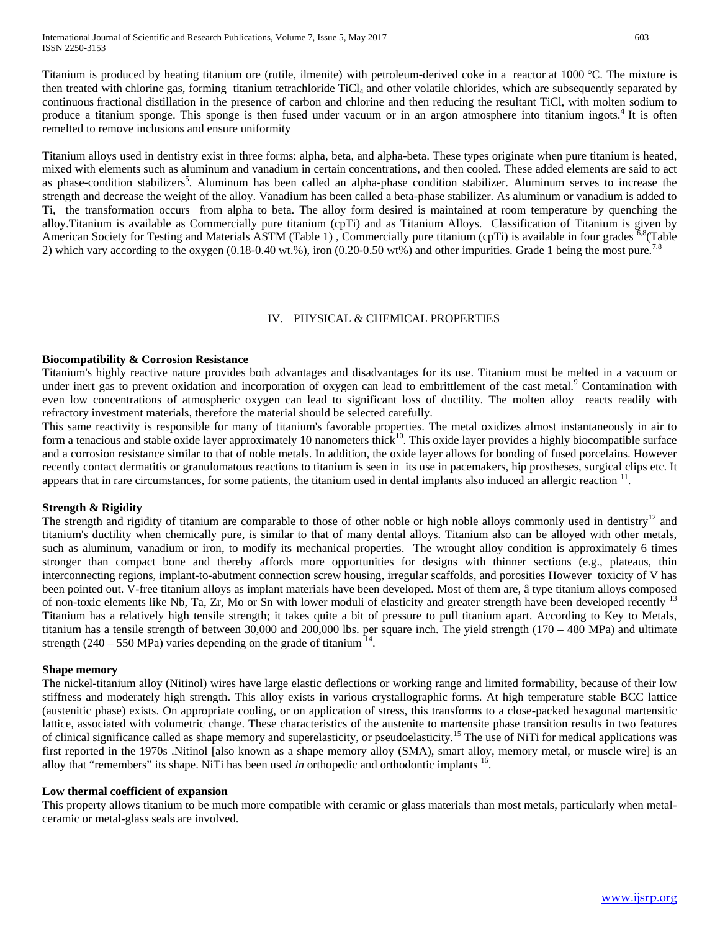Titanium is produced by heating titanium ore (rutile, ilmenite) with petroleum-derived coke in a [reactor](https://en.wikipedia.org/wiki/Fluidized_bed_reactor) at 1000 °C. The mixture is then treated with [chlorine](https://en.wikipedia.org/wiki/Chlorine) gas, forming [titanium tetrachloride](https://en.wikipedia.org/wiki/Titanium_tetrachloride) TiCl<sub>4</sub> and other volatile chlorides, which are subsequently separated by continuous [fractional distillation](https://en.wikipedia.org/wiki/Fractional_distillation) in the presence of carbon and chlorine and then reducing the resultant TiCl, with molten sodium to produce a titanium sponge. This sponge is then fused under vacuum or in an argon atmosphere into titanium ingots.**<sup>4</sup>**It is often remelted to remove inclusions and ensure uniformity

Titanium alloys used in dentistry exist in three forms: alpha, beta, and alpha-beta. These types originate when pure titanium is heated, mixed with elements such as aluminum and vanadium in certain concentrations, and then cooled. These added elements are said to act as phase-condition stabilizers<sup>5</sup>. Aluminum has been called an alpha-phase condition stabilizer. Aluminum serves to increase the strength and decrease the weight of the alloy. Vanadium has been called a beta-phase stabilizer. As aluminum or vanadium is added to Ti, the transformation occurs from alpha to beta. The alloy form desired is maintained at room temperature by quenching the alloy.Titanium is available as Commercially pure titanium (cpTi) and as Titanium Alloys. Classification of Titanium is given by American Society for Testing and Materials ASTM (Table 1), Commercially pure titanium (cpTi) is available in four grades <sup>6,8</sup>(Table 2) which vary according to the oxygen  $(0.18-0.40 \text{ wt\%})$ , iron  $(0.20-0.50 \text{ wt\%})$  and other impurities. Grade 1 being the most pure.<sup>7,8</sup>

## IV. PHYSICAL & CHEMICAL PROPERTIES

## **Biocompatibility & Corrosion Resistance**

Titanium's highly reactive nature provides both advantages and disadvantages for its use. Titanium must be melted in a vacuum or under inert gas to prevent oxidation and incorporation of oxygen can lead to embrittlement of the cast metal.<sup>9</sup> Contamination with even low concentrations of atmospheric oxygen can lead to significant loss of ductility. The molten alloy reacts readily with refractory investment materials, therefore the material should be selected carefully.

This same reactivity is responsible for many of titanium's favorable properties. The metal oxidizes almost instantaneously in air to form a tenacious and stable oxide layer approximately 10 nanometers thick<sup>10</sup>. This oxide layer provides a highly biocompatible surface and a corrosion resistance similar to that of noble metals. In addition, the oxide layer allows for bonding of fused porcelains. However recently contact dermatitis or granulomatous reactions to titanium is seen in its use in pacemakers, hip prostheses, surgical clips etc. It appears that in rare circumstances, for some patients, the titanium used in dental implants also induced an allergic reaction <sup>11</sup>.

## **Strength & Rigidity**

The strength and rigidity of titanium are comparable to those of other noble or high noble alloys commonly used in dentistry<sup>12</sup> and titanium's ductility when chemically pure, is similar to that of many dental alloys. Titanium also can be alloyed with other metals, such as aluminum, vanadium or iron, to modify its mechanical properties. The wrought alloy condition is approximately 6 times stronger than compact bone and thereby affords more opportunities for designs with thinner sections (e.g., plateaus, thin interconnecting regions, implant-to-abutment connection screw housing, irregular scaffolds, and porosities However toxicity of V has been pointed out. V-free titanium alloys as implant materials have been developed. Most of them are, â type titanium alloys composed of non-toxic elements like Nb, Ta, Zr, Mo or Sn with lower moduli of elasticity and greater strength have been developed recently <sup>13</sup> Titanium has a relatively high tensile strength; it takes quite a bit of pressure to pull titanium apart. According to Key to Metals, titanium has a tensile strength of between 30,000 and 200,000 lbs. per square inch. The yield strength  $(170 - 480 \text{ MPa})$  and ultimate strength (240 – 550 MPa) varies depending on the grade of titanium  $^{14}$ .

## **Shape memory**

The nickel-titanium alloy (Nitinol) wires have large elastic deflections or working range and limited formability, because of their low stiffness and moderately high strength. This alloy exists in various crystallographic forms. At high temperature stable BCC lattice (austenitic phase) exists. On appropriate cooling, or on application of stress, this transforms to a close-packed hexagonal martensitic lattice, associated with volumetric change. These characteristics of the austenite to martensite phase transition results in two features of clinical significance called as shape memory and superelasticity, or pseudoelasticity.<sup>15</sup> The use of NiTi for medical applications was first reported in the 1970s .Nitinol [also known as a shape memory alloy (SMA), smart alloy, memory metal, or muscle wire] is an alloy that "remembers" its shape. NiTi has been used *in* orthopedic and orthodontic implants 16.

## **Low thermal coefficient of expansion**

This property allows titanium to be much more compatible with ceramic or glass materials than most metals, particularly when metalceramic or metal-glass seals are involved.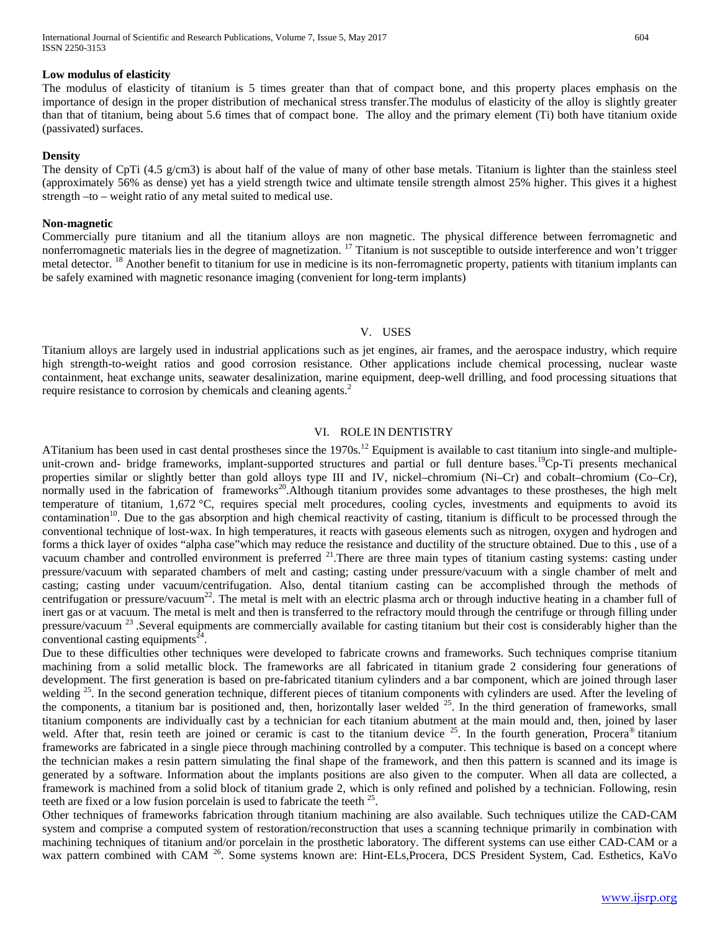#### **Low modulus of elasticity**

The modulus of elasticity of titanium is 5 times greater than that of compact bone, and this property places emphasis on the importance of design in the proper distribution of mechanical stress transfer.The modulus of elasticity of the alloy is slightly greater than that of titanium, being about 5.6 times that of compact bone. The alloy and the primary element (Ti) both have titanium oxide (passivated) surfaces.

#### **Density**

The density of CpTi (4.5 g/cm3) is about half of the value of many of other base metals. Titanium is lighter than the stainless steel (approximately 56% as dense) yet has a yield strength twice and ultimate tensile strength almost 25% higher. This gives it a highest strength –to – weight ratio of any metal suited to medical use.

#### **Non-magnetic**

Commercially pure titanium and all the titanium alloys are non magnetic. The physical difference between ferromagnetic and nonferromagnetic materials lies in the degree of magnetization. <sup>17</sup> Titanium is not susceptible to outside interference and won't trigger metal detector. <sup>18</sup> Another benefit to titanium for use in medicine is its non-ferromagnetic property, patients with titanium implants can be safely examined with magnetic resonance imaging (convenient for long-term implants)

#### V. USES

Titanium alloys are largely used in industrial applications such as jet engines, air frames, and the aerospace industry, which require high strength-to-weight ratios and good corrosion resistance. Other applications include chemical processing, nuclear waste containment, heat exchange units, seawater desalinization, marine equipment, deep-well drilling, and food processing situations that require resistance to corrosion by chemicals and cleaning agents.<sup>2</sup>

#### VI. ROLE IN DENTISTRY

ATitanium has been used in cast dental prostheses since the 1970s.<sup>12</sup> Equipment is available to cast titanium into single-and multipleunit-crown and- bridge frameworks, implant-supported structures and partial or full denture bases.<sup>19</sup>Cp-Ti presents mechanical properties similar or slightly better than gold alloys type III and IV, nickel–chromium (Ni–Cr) and cobalt–chromium (Co–Cr), normally used in the fabrication of frameworks<sup>20</sup>. Although titanium provides some advantages to these prostheses, the high melt temperature of titanium, 1,672 °C, requires special melt procedures, cooling cycles, investments and equipments to avoid its contamination<sup>10</sup>. Due to the gas absorption and high chemical reactivity of casting, titanium is difficult to be processed through the conventional technique of lost-wax. In high temperatures, it reacts with gaseous elements such as nitrogen, oxygen and hydrogen and forms a thick layer of oxides "alpha case"which may reduce the resistance and ductility of the structure obtained. Due to this , use of a vacuum chamber and controlled environment is preferred  $2^{1}$ . There are three main types of titanium casting systems: casting under pressure/vacuum with separated chambers of melt and casting; casting under pressure/vacuum with a single chamber of melt and casting; casting under vacuum/centrifugation. Also, dental titanium casting can be accomplished through the methods of centrifugation or pressure/vacuum<sup>22</sup>. The metal is melt with an electric plasma arch or through inductive heating in a chamber full of inert gas or at vacuum. The metal is melt and then is transferred to the refractory mould through the centrifuge or through filling under pressure/vacuum<sup>23</sup>. Several equipments are commercially available for casting titanium but their cost is considerably higher than the conventional casting equipments $^{24}$ .

Due to these difficulties other techniques were developed to fabricate crowns and frameworks. Such techniques comprise titanium machining from a solid metallic block. The frameworks are all fabricated in titanium grade 2 considering four generations of development. The first generation is based on pre-fabricated titanium cylinders and a bar component, which are joined through laser welding <sup>25</sup>. In the second generation technique, different pieces of titanium components with cylinders are used. After the leveling of the components, a titanium bar is positioned and, then, horizontally laser welded  $^{25}$ . In the third generation of frameworks, small titanium components are individually cast by a technician for each titanium abutment at the main mould and, then, joined by laser weld. After that, resin teeth are joined or ceramic is cast to the titanium device  $25$ . In the fourth generation, Procera<sup>®</sup> titanium frameworks are fabricated in a single piece through machining controlled by a computer. This technique is based on a concept where the technician makes a resin pattern simulating the final shape of the framework, and then this pattern is scanned and its image is generated by a software. Information about the implants positions are also given to the computer. When all data are collected, a framework is machined from a solid block of titanium grade 2, which is only refined and polished by a technician. Following, resin teeth are fixed or a low fusion porcelain is used to fabricate the teeth  $25$ .

Other techniques of frameworks fabrication through titanium machining are also available. Such techniques utilize the CAD-CAM system and comprise a computed system of restoration/reconstruction that uses a scanning technique primarily in combination with machining techniques of titanium and/or porcelain in the prosthetic laboratory. The different systems can use either CAD-CAM or a wax pattern combined with CAM <sup>26</sup>. Some systems known are: Hint-ELs, Procera, DCS President System, Cad. Esthetics, KaVo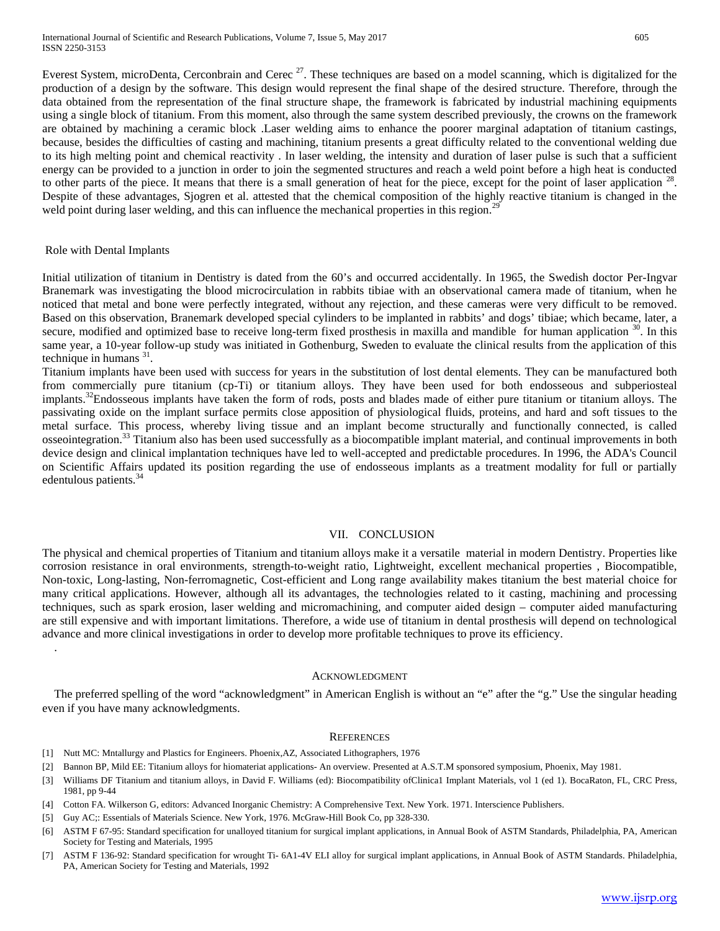Everest System, microDenta, Cerconbrain and Cerec<sup>27</sup>. These techniques are based on a model scanning, which is digitalized for the production of a design by the software. This design would represent the final shape of the desired structure. Therefore, through the data obtained from the representation of the final structure shape, the framework is fabricated by industrial machining equipments using a single block of titanium. From this moment, also through the same system described previously, the crowns on the framework are obtained by machining a ceramic block .Laser welding aims to enhance the poorer marginal adaptation of titanium castings, because, besides the difficulties of casting and machining, titanium presents a great difficulty related to the conventional welding due to its high melting point and chemical reactivity . In laser welding, the intensity and duration of laser pulse is such that a sufficient energy can be provided to a junction in order to join the segmented structures and reach a weld point before a high heat is conducted to other parts of the piece. It means that there is a small generation of heat for the piece, except for the point of laser application  $^{28}$ . Despite of these advantages, Sjogren et al. attested that the chemical composition of the highly reactive titanium is changed in the weld point during laser welding, and this can influence the mechanical properties in this region.<sup>29</sup>

#### Role with Dental Implants

Initial utilization of titanium in Dentistry is dated from the 60's and occurred accidentally. In 1965, the Swedish doctor Per-Ingvar Branemark was investigating the blood microcirculation in rabbits tibiae with an observational camera made of titanium, when he noticed that metal and bone were perfectly integrated, without any rejection, and these cameras were very difficult to be removed. Based on this observation, Branemark developed special cylinders to be implanted in rabbits' and dogs' tibiae; which became, later, a secure, modified and optimized base to receive long-term fixed prosthesis in maxilla and mandible for human application  $30$ . In this same year, a 10-year follow-up study was initiated in Gothenburg, Sweden to evaluate the clinical results from the application of this technique in humans  $31$ .

Titanium implants have been used with success for years in the substitution of lost dental elements. They can be manufactured both from commercially pure titanium (cp-Ti) or titanium alloys. They have been used for both endosseous and subperiosteal implants.<sup>32</sup>Endosseous implants have taken the form of rods, posts and blades made of either pure titanium or titanium alloys. The passivating oxide on the implant surface permits close apposition of physiological fluids, proteins, and hard and soft tissues to the metal surface. This process, whereby living tissue and an implant become structurally and functionally connected, is called osseointegration.<sup>33</sup> Titanium also has been used successfully as a biocompatible implant material, and continual improvements in both device design and clinical implantation techniques have led to well-accepted and predictable procedures. In 1996, the ADA's Council on Scientific Affairs updated its position regarding the use of endosseous implants as a treatment modality for full or partially edentulous patients.<sup>34</sup>

#### VII. CONCLUSION

The physical and chemical properties of Titanium and titanium alloys make it a versatile material in modern Dentistry. Properties like corrosion resistance in oral environments, strength-to-weight ratio, Lightweight, excellent mechanical properties , Biocompatible, Non-toxic, Long-lasting, Non-ferromagnetic, Cost-efficient and Long range availability makes titanium the best material choice for many critical applications. However, although all its advantages, the technologies related to it casting, machining and processing techniques, such as spark erosion, laser welding and micromachining, and computer aided design – computer aided manufacturing are still expensive and with important limitations. Therefore, a wide use of titanium in dental prosthesis will depend on technological advance and more clinical investigations in order to develop more profitable techniques to prove its efficiency. .

#### ACKNOWLEDGMENT

The preferred spelling of the word "acknowledgment" in American English is without an "e" after the "g." Use the singular heading even if you have many acknowledgments.

#### **REFERENCES**

- [1] Nutt MC: Mntallurgy and Plastics for Engineers. Phoenix,AZ, Associated Lithographers, 1976
- [2] Bannon BP, Mild EE: Titanium alloys for hiomateriat applications- An overview. Presented at A.S.T.M sponsored symposium, Phoenix, May 1981.
- [3] Williams DF Titanium and titanium alloys, in David F. Williams (ed): Biocompatibility ofClinica1 Implant Materials, vol 1 (ed 1). BocaRaton, FL, CRC Press, 1981, pp 9-44
- [4] Cotton FA. Wilkerson G, editors: Advanced Inorganic Chemistry: A Comprehensive Text. New York. 1971. Interscience Publishers.
- [5] Guy AC;: Essentials of Materials Science. New York, 1976. McGraw-Hill Book Co, pp 328-330.
- [6] ASTM F 67-95: Standard specification for unalloyed titanium for surgical implant applications, in Annual Book of ASTM Standards, Philadelphia, PA, American Society for Testing and Materials, 1995
- [7] ASTM F 136-92: Standard specification for wrought Ti- 6A1-4V ELI alloy for surgical implant applications, in Annual Book of ASTM Standards. Philadelphia, PA, American Society for Testing and Materials, 1992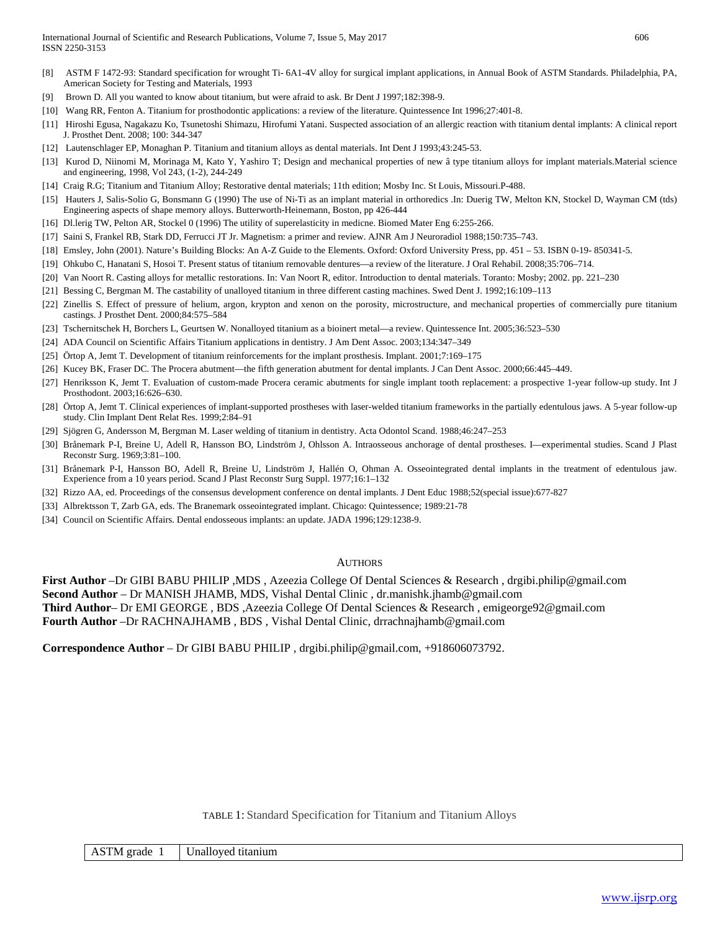- [8] ASTM F 1472-93: Standard specification for wrought Ti- 6A1-4V alloy for surgical implant applications, in Annual Book of ASTM Standards. Philadelphia, PA, American Society for Testing and Materials, 1993
- [9] Brown D. All you wanted to know about titanium, but were afraid to ask. Br Dent J 1997;182:398-9.
- [10] Wang RR, Fenton A. Titanium for prosthodontic applications: a review of the literature. Quintessence Int 1996;27:401-8.
- [11] Hiroshi Egusa, Nagakazu Ko, Tsunetoshi Shimazu, Hirofumi Yatani. Suspected association of an allergic reaction with titanium dental implants: A clinical report J. Prosthet Dent. 2008; 100: 344-347
- [12] Lautenschlager EP, Monaghan P. Titanium and titanium alloys as dental materials. Int Dent J 1993;43:245-53.
- [13] Kurod D, Niinomi M, Morinaga M, Kato Y, Yashiro T; Design and mechanical properties of new â type titanium alloys for implant materials.Material science and engineering, 1998, Vol 243, (1-2), 244-249
- [14] Craig R.G; Titanium and Titanium Alloy; Restorative dental materials; 11th edition; Mosby Inc. St Louis, Missouri.P-488.
- [15] Hauters J, Salis-Solio G, Bonsmann G (1990) The use of Ni-Ti as an implant material in orthoredics .In: Duerig TW, Melton KN, Stockel D, Wayman CM (tds) Engineering aspects of shape memory alloys. Butterworth-Heinemann, Boston, pp 426-444
- [16] Dl.lerig TW, Pelton AR, Stockel 0 (1996) The utility of superelasticity in medicne. Biomed Mater Eng 6:255-266.
- [17] Saini S, Frankel RB, Stark DD, Ferrucci JT Jr. Magnetism: a primer and review. AJNR Am J Neuroradiol 1988;150:735–743.
- [18] Emsley, John (2001). Nature's Building Blocks: An A-Z Guide to the Elements. Oxford: Oxford University Press, pp. 451 53. ISBN 0-19- 850341-5.
- [19] Ohkubo C, Hanatani S, Hosoi T. Present status of titanium removable dentures—a review of the literature. J Oral Rehabil. 2008;35:706–714.
- [20] Van Noort R. Casting alloys for metallic restorations. In: Van Noort R, editor. Introduction to dental materials. Toranto: Mosby; 2002. pp. 221–230
- [21] Bessing C, Bergman M. The castability of unalloyed titanium in three different casting machines. Swed Dent J. 1992;16:109–113
- [22] Zinellis S. Effect of pressure of helium, argon, krypton and xenon on the porosity, microstructure, and mechanical properties of commercially pure titanium castings. J Prosthet Dent. 2000;84:575–584
- [23] Tschernitschek H, Borchers L, Geurtsen W. Nonalloyed titanium as a bioinert metal—a review. Quintessence Int. 2005;36:523–530
- [24] ADA Council on Scientific Affairs Titanium applications in dentistry. J Am Dent Assoc. 2003;134:347–349
- [25] Örtop A, Jemt T. Development of titanium reinforcements for the implant prosthesis. Implant. 2001;7:169–175
- [26] Kucey BK, Fraser DC. The Procera abutment—the fifth generation abutment for dental implants. J Can Dent Assoc. 2000;66:445–449.
- [27] Henriksson K, Jemt T. Evaluation of custom-made Procera ceramic abutments for single implant tooth replacement: a prospective 1-year follow-up study. Int J Prosthodont. 2003;16:626–630.
- [28] Örtop A, Jemt T. Clinical experiences of implant-supported prostheses with laser-welded titanium frameworks in the partially edentulous jaws. A 5-year follow-up study. Clin Implant Dent Relat Res. 1999;2:84–91
- [29] Sjögren G, Andersson M, Bergman M. Laser welding of titanium in dentistry. Acta Odontol Scand. 1988;46:247–253
- [30] Brånemark P-I, Breine U, Adell R, Hansson BO, Lindström J, Ohlsson A. Intraosseous anchorage of dental prostheses. I—experimental studies. Scand J Plast Reconstr Surg. 1969;3:81–100.
- [31] Brånemark P-I, Hansson BO, Adell R, Breine U, Lindström J, Hallén O, Ohman A. Osseointegrated dental implants in the treatment of edentulous jaw. Experience from a 10 years period. Scand J Plast Reconstr Surg Suppl. 1977;16:1–132
- [32] Rizzo AA, ed. Proceedings of the consensus development conference on dental implants. J Dent Educ 1988;52(special issue):677-827
- [33] Albrektsson T, Zarb GA, eds. The Branemark osseointegrated implant. Chicago: Quintessence; 1989:21-78
- [34] Council on Scientific Affairs. Dental endosseous implants: an update. JADA 1996;129:1238-9.

#### **AUTHORS**

**First Author** –Dr GIBI BABU PHILIP ,MDS , Azeezia College Of Dental Sciences & Research , drgibi.philip@gmail.com **Second Author** – Dr MANISH JHAMB, MDS, Vishal Dental Clinic , dr.manishk.jhamb@gmail.com **Third Author**– Dr EMI GEORGE , BDS ,Azeezia College Of Dental Sciences & Research , emigeorge92@gmail.com **Fourth Author** –Dr RACHNAJHAMB , BDS , Vishal Dental Clinic, drrachnajhamb@gmail.com

**Correspondence Author** – Dr GIBI BABU PHILIP , drgibi.philip@gmail.com, +918606073792.

#### TABLE 1: Standard Specification for Titanium and Titanium Alloys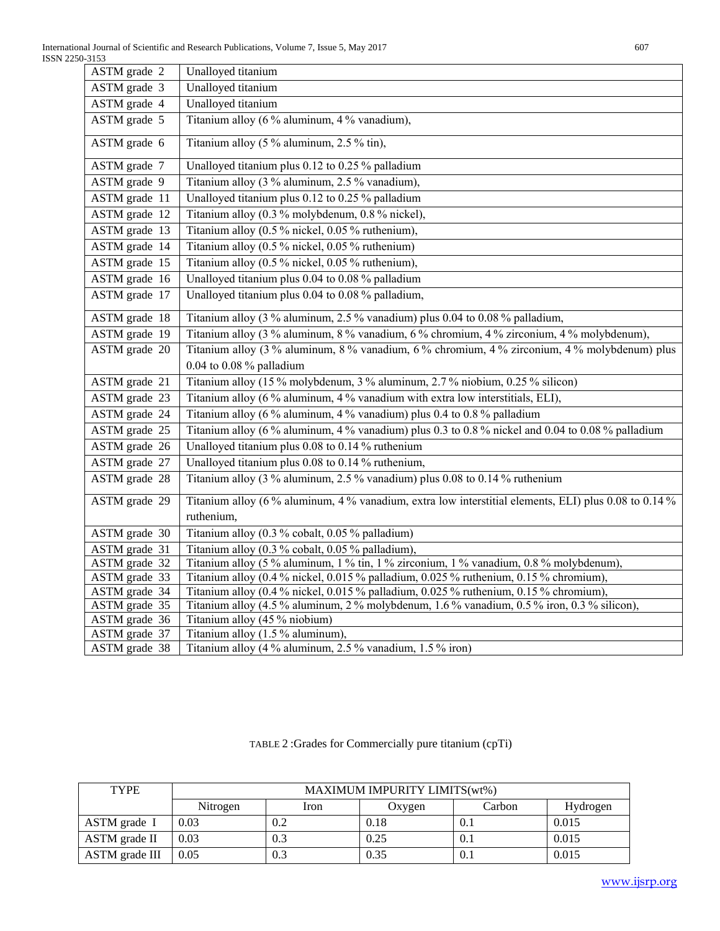| ASTM grade 2  | Unalloyed titanium                                                                                           |
|---------------|--------------------------------------------------------------------------------------------------------------|
| ASTM grade 3  | Unalloyed titanium                                                                                           |
| ASTM grade 4  | Unalloyed titanium                                                                                           |
| ASTM grade 5  | Titanium alloy (6 % aluminum, 4 % vanadium),                                                                 |
| ASTM grade 6  | Titanium alloy (5 % aluminum, 2.5 % tin),                                                                    |
| ASTM grade 7  | Unalloyed titanium plus 0.12 to 0.25 % palladium                                                             |
| ASTM grade 9  | Titanium alloy (3 % aluminum, 2.5 % vanadium),                                                               |
| ASTM grade 11 | Unalloyed titanium plus 0.12 to 0.25 % palladium                                                             |
| ASTM grade 12 | Titanium alloy (0.3 % molybdenum, 0.8 % nickel),                                                             |
| ASTM grade 13 | Titanium alloy (0.5 % nickel, 0.05 % ruthenium),                                                             |
| ASTM grade 14 | Titanium alloy (0.5 % nickel, 0.05 % ruthenium)                                                              |
| ASTM grade 15 | Titanium alloy (0.5 % nickel, 0.05 % ruthenium),                                                             |
| ASTM grade 16 | Unalloyed titanium plus 0.04 to 0.08 % palladium                                                             |
| ASTM grade 17 | Unalloyed titanium plus 0.04 to 0.08 % palladium,                                                            |
| ASTM grade 18 | Titanium alloy (3 % aluminum, 2.5 % vanadium) plus 0.04 to 0.08 % palladium,                                 |
| ASTM grade 19 | Titanium alloy (3 % aluminum, 8 % vanadium, 6 % chromium, 4 % zirconium, 4 % molybdenum),                    |
| ASTM grade 20 | Titanium alloy (3 % aluminum, 8 % vanadium, 6 % chromium, 4 % zirconium, 4 % molybdenum) plus                |
|               | $0.04$ to $0.08$ % palladium                                                                                 |
| ASTM grade 21 | Titanium alloy (15 % molybdenum, 3 % aluminum, 2.7 % niobium, 0.25 % silicon)                                |
| ASTM grade 23 | Titanium alloy (6 % aluminum, 4 % vanadium with extra low interstitials, ELI),                               |
| ASTM grade 24 | Titanium alloy (6 % aluminum, 4 % vanadium) plus 0.4 to 0.8 % palladium                                      |
| ASTM grade 25 | Titanium alloy ( $\overline{6\%}$ aluminum, 4% vanadium) plus 0.3 to 0.8% nickel and 0.04 to 0.08% palladium |
| ASTM grade 26 | Unalloyed titanium plus 0.08 to 0.14 % ruthenium                                                             |
| ASTM grade 27 | Unalloyed titanium plus 0.08 to 0.14 % ruthenium,                                                            |
| ASTM grade 28 | Titanium alloy (3 % aluminum, 2.5 % vanadium) plus 0.08 to 0.14 % ruthenium                                  |
| ASTM grade 29 | Titanium alloy (6 % aluminum, 4 % vanadium, extra low interstitial elements, ELI) plus 0.08 to 0.14 %        |
|               | ruthenium,                                                                                                   |
| ASTM grade 30 | Titanium alloy (0.3 % cobalt, 0.05 % palladium)                                                              |
| ASTM grade 31 | Titanium alloy (0.3 % cobalt, 0.05 % palladium),                                                             |
| ASTM grade 32 | Titanium alloy (5 % aluminum, 1 % tin, 1 % zirconium, 1 % vanadium, 0.8 % molybdenum),                       |
| ASTM grade 33 | Titanium alloy (0.4 % nickel, 0.015 % palladium, 0.025 % ruthenium, 0.15 % chromium),                        |
| ASTM grade 34 | Titanium alloy (0.4 % nickel, 0.015 % palladium, 0.025 % ruthenium, 0.15 % chromium),                        |
| ASTM grade 35 | Titanium alloy (4.5 % aluminum, 2 % molybdenum, 1.6 % vanadium, 0.5 % iron, 0.3 % silicon)                   |
| ASTM grade 36 | Titanium alloy (45 % niobium)                                                                                |
| ASTM grade 37 | Titanium alloy (1.5 % aluminum).                                                                             |
| ASTM grade 38 | Titanium alloy (4 % aluminum, 2.5 % vanadium, 1.5 % iron)                                                    |

TABLE 2 :Grades for Commercially pure titanium (cpTi)

| <b>TYPE</b>    | MAXIMUM IMPURITY LIMITS(wt%) |      |        |        |          |  |  |
|----------------|------------------------------|------|--------|--------|----------|--|--|
|                | Nitrogen                     | Iron | Oxygen | Carbon | Hydrogen |  |  |
| ASTM grade I   | 0.03                         |      | 0.18   | 0.1    | 0.015    |  |  |
| ASTM grade II  | 0.03                         |      | 0.25   | 0.1    | 0.015    |  |  |
| ASTM grade III | 0.05                         |      | 0.35   | 0.1    | 0.015    |  |  |